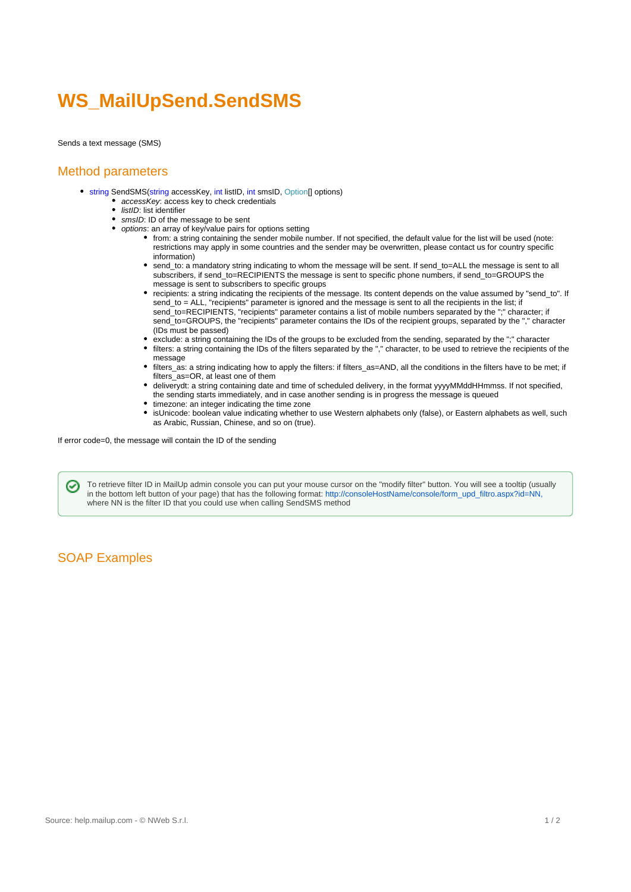# **WS\_MailUpSend.SendSMS**

Sends a text message (SMS)

## Method parameters

- string SendSMS(string accessKey, int listID, int smsID, Option[] options)
	- accessKey: access key to check credentials
		- $\bullet$  *listID*: list identifier
		- smsID: ID of the message to be sent  $\bullet$
		- options: an array of key/value pairs for options setting
			- from: a string containing the sender mobile number. If not specified, the default value for the list will be used (note: restrictions may apply in some countries and the sender may be overwritten, please contact us for country specific information)
			- send\_to: a mandatory string indicating to whom the message will be sent. If send\_to=ALL the message is sent to all subscribers, if send\_to=RECIPIENTS the message is sent to specific phone numbers, if send\_to=GROUPS the message is sent to subscribers to specific groups
			- recipients: a string indicating the recipients of the message. Its content depends on the value assumed by "send\_to". If send\_to = ALL, "recipients" parameter is ignored and the message is sent to all the recipients in the list; if send\_to=RECIPIENTS, "recipients" parameter contains a list of mobile numbers separated by the ";" character; if send to=GROUPS, the "recipients" parameter contains the IDs of the recipient groups, separated by the "," character (IDs must be passed)
			- exclude: a string containing the IDs of the groups to be excluded from the sending, separated by the ";" character filters: a string containing the IDs of the filters separated by the "," character, to be used to retrieve the recipients of the
				- message
			- filters\_as: a string indicating how to apply the filters: if filters\_as=AND, all the conditions in the filters have to be met; if filters as=OR, at least one of them
			- deliverydt: a string containing date and time of scheduled delivery, in the format yyyyMMddHHmmss. If not specified, the sending starts immediately, and in case another sending is in progress the message is queued
			- timezone: an integer indicating the time zone
			- isUnicode: boolean value indicating whether to use Western alphabets only (false), or Eastern alphabets as well, such as Arabic, Russian, Chinese, and so on (true).

If error code=0, the message will contain the ID of the sending

To retrieve filter ID in MailUp admin console you can put your mouse cursor on the "modify filter" button. You will see a tooltip (usually ⊘ in the bottom left button of your page) that has the following format: [http://consoleHostName/console/form\\_upd\\_filtro.aspx?id=NN,](http://consolehostname/console/form_upd_filtro.aspx?id=NN,) where NN is the filter ID that you could use when calling SendSMS method

## SOAP Examples